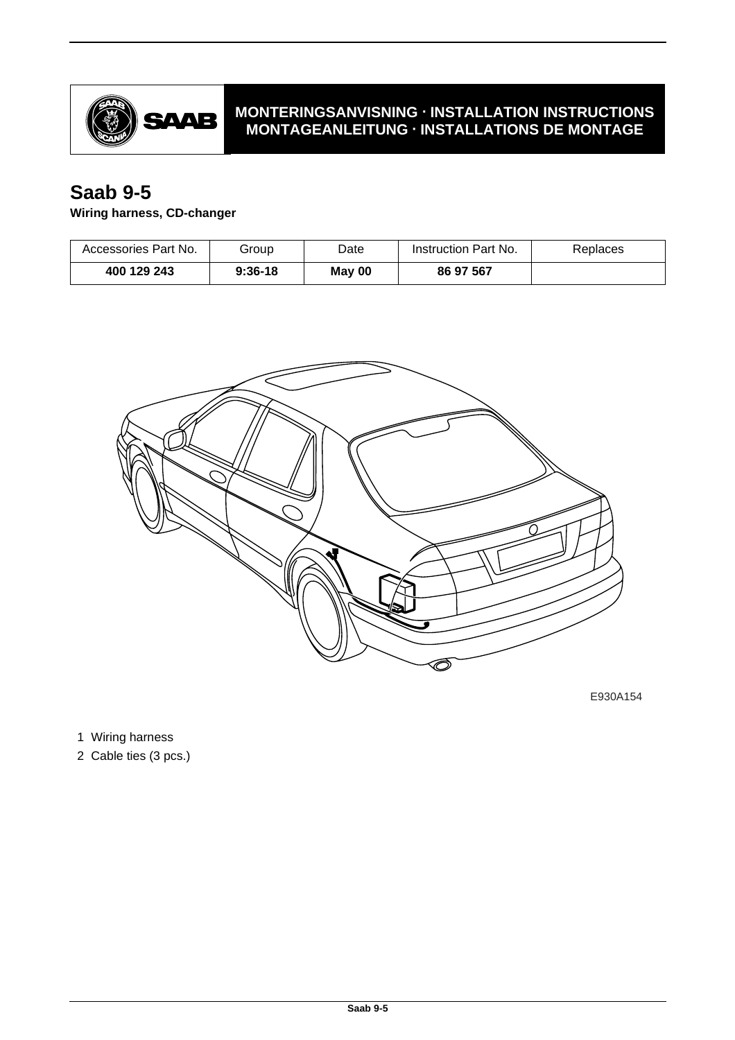

## **MONTERINGSANVISNING · INSTALLATION INSTRUCTIONS MONTAGEANLEITUNG · INSTALLATIONS DE MONTAGE**

## **Saab 9-5**

## **Wiring harness, CD-changer**

| Accessories Part No. | Group     | Date   | Instruction Part No. | Replaces |
|----------------------|-----------|--------|----------------------|----------|
| 400 129 243          | $9:36-18$ | May 00 | 86 97 567            |          |



E930A154

1 Wiring harness

2 Cable ties (3 pcs.)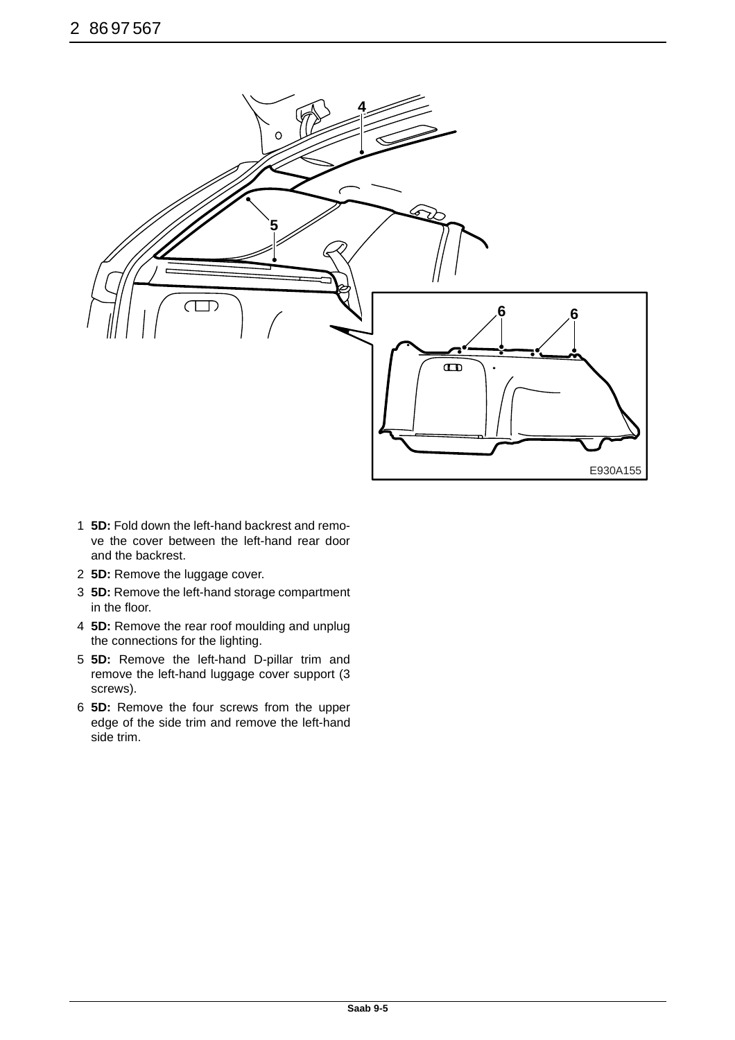

- 1 **5D:** Fold down the left-hand backrest and remove the cover between the left-hand rear door and the backrest.
- 2 **5D:** Remove the luggage cover.
- 3 **5D:** Remove the left-hand storage compartment in the floor.
- 4 **5D:** Remove the rear roof moulding and unplug the connections for the lighting.
- 5 **5D:** Remove the left-hand D-pillar trim and remove the left-hand luggage cover support (3 screws).
- 6 **5D:** Remove the four screws from the upper edge of the side trim and remove the left-hand side trim.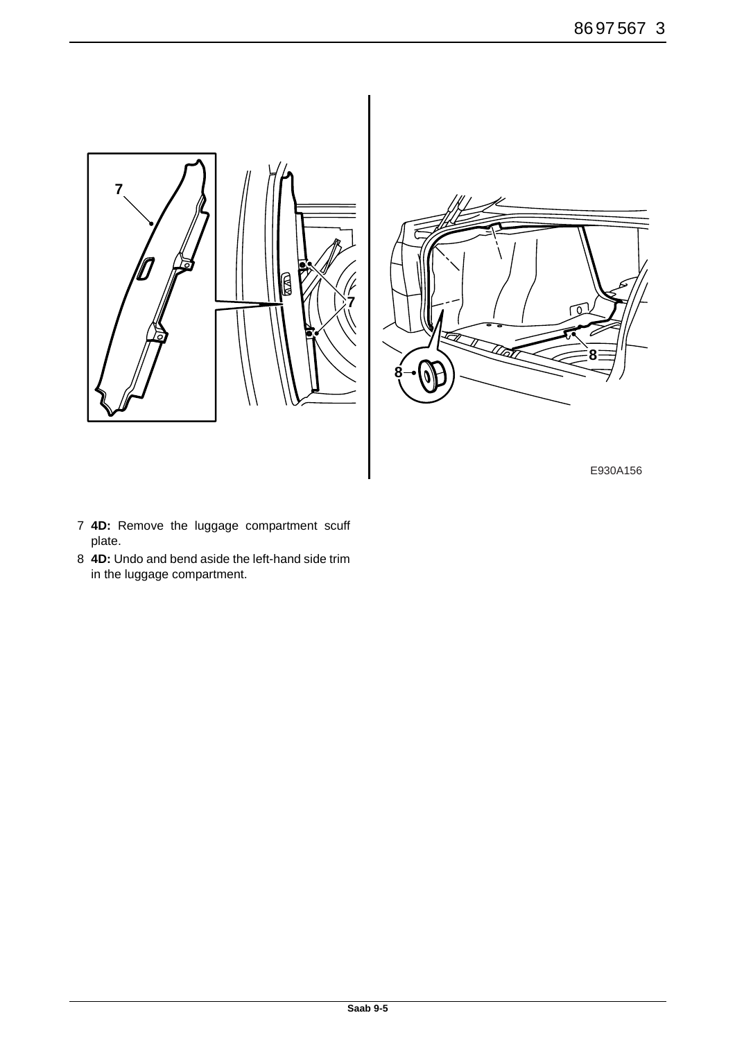

-<br>Kat **8**

E930A156

- 7 **4D:** Remove the luggage compartment scuff plate.
- 8 **4D:** Undo and bend aside the left-hand side trim in the luggage compartment.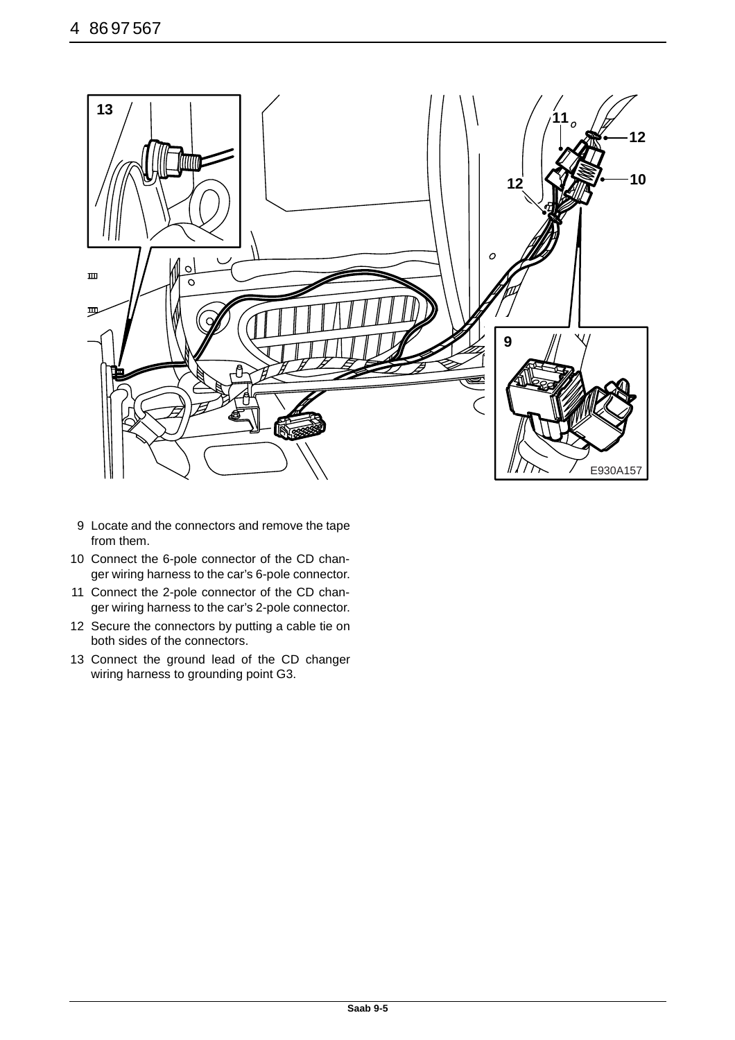

- 9 Locate and the connectors and remove the tape from them.
- 10 Connect the 6-pole connector of the CD changer wiring harness to the car's 6-pole connector.
- 11 Connect the 2-pole connector of the CD changer wiring harness to the car's 2-pole connector.
- 12 Secure the connectors by putting a cable tie on both sides of the connectors.
- 13 Connect the ground lead of the CD changer wiring harness to grounding point G3.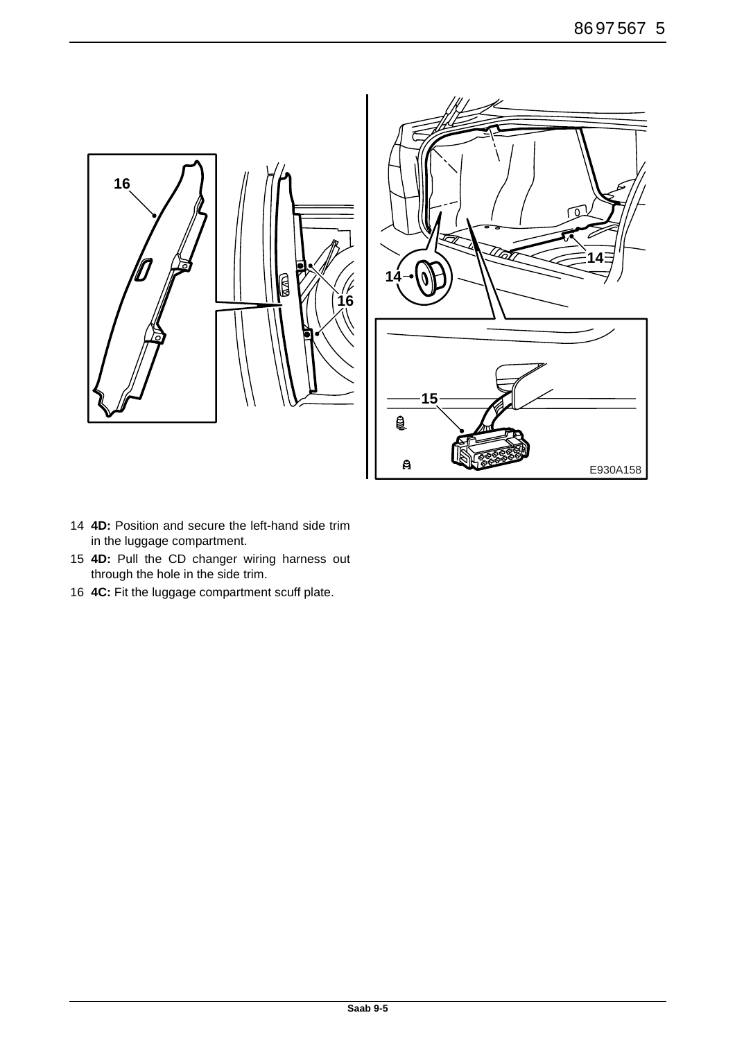

- **4D:** Position and secure the left-hand side trim in the luggage compartment.
- **4D:** Pull the CD changer wiring harness out through the hole in the side trim.
- **4C:** Fit the luggage compartment scuff plate.